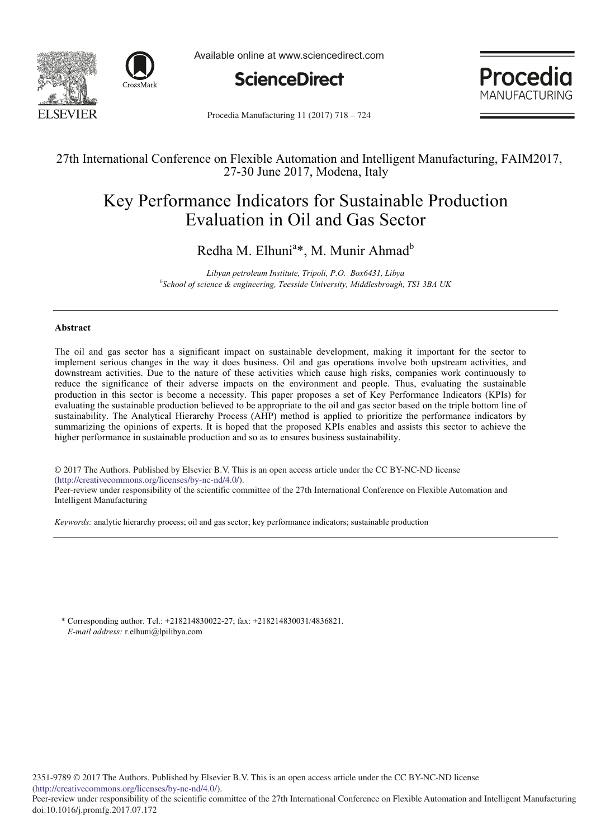

Available online at www.sciencedirect.com





Procedia Manufacturing 11 (2017) 718 - 724

# 27th International Conference on Flexible Automation and Intelligent Manufacturing, FAIM2017, 27-30 June 2017, Modena, Italy

# Key Performance Indicators for Sustainable Production Evaluation in Oil and Gas Sector

# Redha M. Elhuni<sup>a</sup>\*, M. Munir Ahmad<sup>b</sup>

*Libyan petroleum Institute, Tripoli, P.O. Box6431, Libya b School of science & engineering, Teesside University, Middlesbrough, TS1 3BA UK* 

# **Abstract**

The oil and gas sector has a significant impact on sustainable development, making it important for the sector to implement serious changes in the way it does business. Oil and gas operations involve both upstream activities, and downstream activities. Due to the nature of these activities which cause high risks, companies work continuously to reduce the significance of their adverse impacts on the environment and people. Thus, evaluating the sustainable production in this sector is become a necessity. This paper proposes a set of Key Performance Indicators (KPIs) for evaluating the sustainable production believed to be appropriate to the oil and gas sector based on the triple bottom line of sustainability. The Analytical Hierarchy Process (AHP) method is applied to prioritize the performance indicators by summarizing the opinions of experts. It is hoped that the proposed KPIs enables and assists this sector to achieve the higher performance in sustainable production and so as to ensures business sustainability.

© 2017 The Authors. Published by Elsevier B.V. (http://creativecommons.org/licenses/by-nc-nd/4.0/). Peer-review under responsibility of the scientific committee of the 27th International Conference on Flexible Automation and Intelligent Manufacturing. Intelligent Manufacturing© 2017 The Authors. Published by Elsevier B.V. This is an open access article under the CC BY-NC-ND license

*Keywords:* analytic hierarchy process; oil and gas sector; key performance indicators; sustainable production

\* Corresponding author. Tel.: +218214830022-27; fax: +218214830031/4836821. *E-mail address:* r.elhuni@lpilibya.com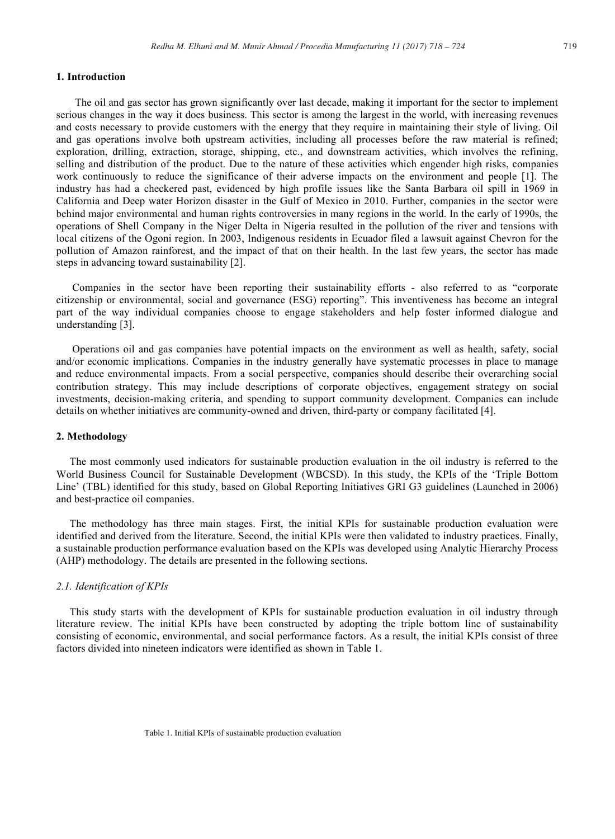# **1. Introduction**

 The oil and gas sector has grown significantly over last decade, making it important for the sector to implement serious changes in the way it does business. This sector is among the largest in the world, with increasing revenues and costs necessary to provide customers with the energy that they require in maintaining their style of living. Oil and gas operations involve both upstream activities, including all processes before the raw material is refined; exploration, drilling, extraction, storage, shipping, etc., and downstream activities, which involves the refining, selling and distribution of the product. Due to the nature of these activities which engender high risks, companies work continuously to reduce the significance of their adverse impacts on the environment and people [1]. The industry has had a checkered past, evidenced by high profile issues like the Santa Barbara oil spill in 1969 in California and Deep water Horizon disaster in the Gulf of Mexico in 2010. Further, companies in the sector were behind major environmental and human rights controversies in many regions in the world. In the early of 1990s, the operations of Shell Company in the Niger Delta in Nigeria resulted in the pollution of the river and tensions with local citizens of the Ogoni region. In 2003, Indigenous residents in Ecuador filed a lawsuit against Chevron for the pollution of Amazon rainforest, and the impact of that on their health. In the last few years, the sector has made steps in advancing toward sustainability [2].

 Companies in the sector have been reporting their sustainability efforts - also referred to as "corporate citizenship or environmental, social and governance (ESG) reporting". This inventiveness has become an integral part of the way individual companies choose to engage stakeholders and help foster informed dialogue and understanding [3].

 Operations oil and gas companies have potential impacts on the environment as well as health, safety, social and/or economic implications. Companies in the industry generally have systematic processes in place to manage and reduce environmental impacts. From a social perspective, companies should describe their overarching social contribution strategy. This may include descriptions of corporate objectives, engagement strategy on social investments, decision-making criteria, and spending to support community development. Companies can include details on whether initiatives are community-owned and driven, third-party or company facilitated [4].

# **2. Methodology**

 The most commonly used indicators for sustainable production evaluation in the oil industry is referred to the World Business Council for Sustainable Development (WBCSD). In this study, the KPIs of the 'Triple Bottom Line' (TBL) identified for this study, based on Global Reporting Initiatives GRI G3 guidelines (Launched in 2006) and best-practice oil companies.

 The methodology has three main stages. First, the initial KPIs for sustainable production evaluation were identified and derived from the literature. Second, the initial KPIs were then validated to industry practices. Finally, a sustainable production performance evaluation based on the KPIs was developed using Analytic Hierarchy Process (AHP) methodology. The details are presented in the following sections.

# *2.1. Identification of KPIs*

 This study starts with the development of KPIs for sustainable production evaluation in oil industry through literature review. The initial KPIs have been constructed by adopting the triple bottom line of sustainability consisting of economic, environmental, and social performance factors. As a result, the initial KPIs consist of three factors divided into nineteen indicators were identified as shown in Table 1.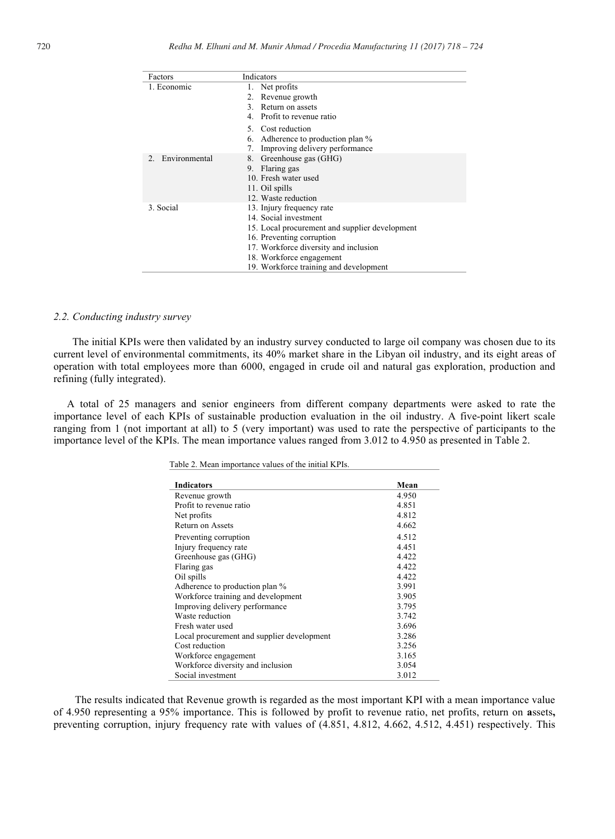| Factors                      | Indicators                                     |
|------------------------------|------------------------------------------------|
| 1. Economic                  | 1. Net profits                                 |
|                              | 2. Revenue growth                              |
|                              | Return on assets<br>$\mathcal{F}$              |
|                              | 4. Profit to revenue ratio                     |
|                              | 5. Cost reduction                              |
|                              | Adherence to production plan %<br>6.           |
|                              | Improving delivery performance<br>7.           |
| Environmental<br>$2^{\circ}$ | Greenhouse gas (GHG)<br>8.                     |
|                              | Flaring gas<br>9.                              |
|                              | 10. Fresh water used                           |
|                              | 11. Oil spills                                 |
|                              | 12. Waste reduction                            |
| 3. Social                    | 13. Injury frequency rate                      |
|                              | 14. Social investment                          |
|                              | 15. Local procurement and supplier development |
|                              | 16. Preventing corruption                      |
|                              | 17. Workforce diversity and inclusion          |
|                              | 18. Workforce engagement                       |
|                              | 19. Workforce training and development         |

#### *2.2. Conducting industry survey*

 The initial KPIs were then validated by an industry survey conducted to large oil company was chosen due to its current level of environmental commitments, its 40% market share in the Libyan oil industry, and its eight areas of operation with total employees more than 6000, engaged in crude oil and natural gas exploration, production and refining (fully integrated).

 A total of 25 managers and senior engineers from different company departments were asked to rate the importance level of each KPIs of sustainable production evaluation in the oil industry. A five-point likert scale ranging from 1 (not important at all) to 5 (very important) was used to rate the perspective of participants to the importance level of the KPIs. The mean importance values ranged from 3.012 to 4.950 as presented in Table 2.

|  | Table 2. Mean importance values of the initial KPIs. |  |  |
|--|------------------------------------------------------|--|--|
|--|------------------------------------------------------|--|--|

| <b>Indicators</b>                          | Mean  |
|--------------------------------------------|-------|
| Revenue growth                             | 4.950 |
| Profit to revenue ratio                    | 4.851 |
| Net profits                                | 4.812 |
| Return on Assets                           | 4.662 |
| Preventing corruption                      | 4.512 |
| Injury frequency rate                      | 4.451 |
| Greenhouse gas (GHG)                       | 4.422 |
| Flaring gas                                | 4.422 |
| Oil spills                                 | 4.422 |
| Adherence to production plan %             | 3.991 |
| Workforce training and development         | 3.905 |
| Improving delivery performance             | 3.795 |
| Waste reduction                            | 3.742 |
| Fresh water used                           | 3.696 |
| Local procurement and supplier development | 3.286 |
| Cost reduction                             | 3.256 |
| Workforce engagement                       | 3.165 |
| Workforce diversity and inclusion          | 3.054 |
| Social investment                          | 3.012 |

 The results indicated that Revenue growth is regarded as the most important KPI with a mean importance value of 4.950 representing a 95% importance. This is followed by profit to revenue ratio, net profits, return on **a**ssets**,**  preventing corruption, injury frequency rate with values of (4.851, 4.812, 4.662, 4.512, 4.451) respectively. This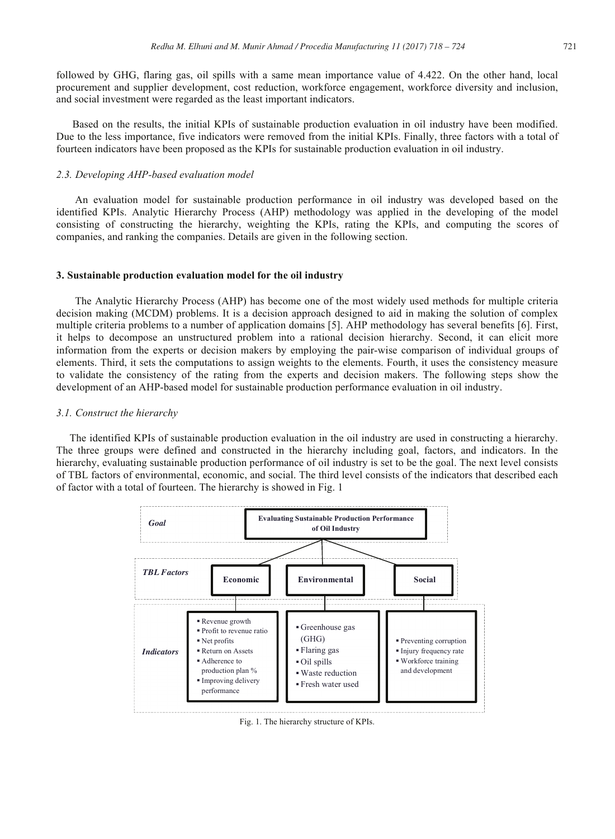followed by GHG, flaring gas, oil spills with a same mean importance value of 4.422. On the other hand, local procurement and supplier development, cost reduction, workforce engagement, workforce diversity and inclusion, and social investment were regarded as the least important indicators.

 Based on the results, the initial KPIs of sustainable production evaluation in oil industry have been modified. Due to the less importance, five indicators were removed from the initial KPIs. Finally, three factors with a total of fourteen indicators have been proposed as the KPIs for sustainable production evaluation in oil industry.

# *2.3. Developing AHP-based evaluation model*

 An evaluation model for sustainable production performance in oil industry was developed based on the identified KPIs. Analytic Hierarchy Process (AHP) methodology was applied in the developing of the model consisting of constructing the hierarchy, weighting the KPIs, rating the KPIs, and computing the scores of companies, and ranking the companies. Details are given in the following section.

#### **3. Sustainable production evaluation model for the oil industry**

 The Analytic Hierarchy Process (AHP) has become one of the most widely used methods for multiple criteria decision making (MCDM) problems. It is a decision approach designed to aid in making the solution of complex multiple criteria problems to a number of application domains [5]. AHP methodology has several benefits [6]. First, it helps to decompose an unstructured problem into a rational decision hierarchy. Second, it can elicit more information from the experts or decision makers by employing the pair-wise comparison of individual groups of elements. Third, it sets the computations to assign weights to the elements. Fourth, it uses the consistency measure to validate the consistency of the rating from the experts and decision makers. The following steps show the development of an AHP-based model for sustainable production performance evaluation in oil industry.

#### *3.1. Construct the hierarchy*

 The identified KPIs of sustainable production evaluation in the oil industry are used in constructing a hierarchy. The three groups were defined and constructed in the hierarchy including goal, factors, and indicators. In the hierarchy, evaluating sustainable production performance of oil industry is set to be the goal. The next level consists of TBL factors of environmental, economic, and social. The third level consists of the indicators that described each of factor with a total of fourteen. The hierarchy is showed in Fig. 1



Fig. 1. The hierarchy structure of KPIs.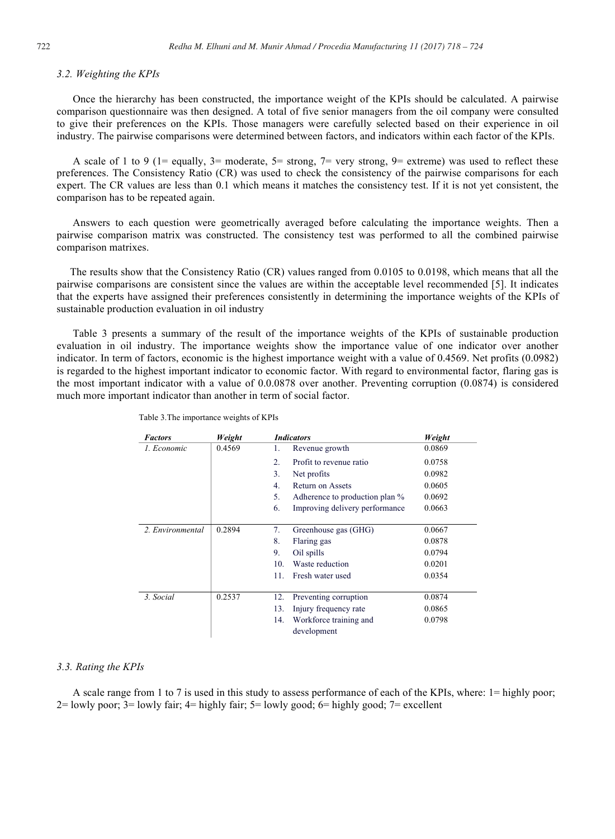# *3.2. Weighting the KPIs*

 Once the hierarchy has been constructed, the importance weight of the KPIs should be calculated. A pairwise comparison questionnaire was then designed. A total of five senior managers from the oil company were consulted to give their preferences on the KPIs. Those managers were carefully selected based on their experience in oil industry. The pairwise comparisons were determined between factors, and indicators within each factor of the KPIs.

A scale of 1 to 9 (1= equally, 3= moderate, 5= strong, 7= very strong, 9= extreme) was used to reflect these preferences. The Consistency Ratio (CR) was used to check the consistency of the pairwise comparisons for each expert. The CR values are less than 0.1 which means it matches the consistency test. If it is not yet consistent, the comparison has to be repeated again.

 Answers to each question were geometrically averaged before calculating the importance weights. Then a pairwise comparison matrix was constructed. The consistency test was performed to all the combined pairwise comparison matrixes.

 The results show that the Consistency Ratio (CR) values ranged from 0.0105 to 0.0198, which means that all the pairwise comparisons are consistent since the values are within the acceptable level recommended [5]. It indicates that the experts have assigned their preferences consistently in determining the importance weights of the KPIs of sustainable production evaluation in oil industry

 Table 3 presents a summary of the result of the importance weights of the KPIs of sustainable production evaluation in oil industry. The importance weights show the importance value of one indicator over another indicator. In term of factors, economic is the highest importance weight with a value of 0.4569. Net profits (0.0982) is regarded to the highest important indicator to economic factor. With regard to environmental factor, flaring gas is the most important indicator with a value of 0.0.0878 over another. Preventing corruption (0.0874) is considered much more important indicator than another in term of social factor.

| <b>Factors</b>   | Weight | <b>Indicators</b>                            | Weight |
|------------------|--------|----------------------------------------------|--------|
| 1. Economic      | 0.4569 | $\mathbf{1}$ .<br>Revenue growth             | 0.0869 |
|                  |        | $\overline{2}$<br>Profit to revenue ratio    | 0.0758 |
|                  |        | 3.<br>Net profits                            | 0.0982 |
|                  |        | 4.<br><b>Return on Assets</b>                | 0.0605 |
|                  |        | 5.<br>Adherence to production plan %         | 0.0692 |
|                  |        | 6.<br>Improving delivery performance         | 0.0663 |
| 2. Environmental | 0.2894 | 7.<br>Greenhouse gas (GHG)                   | 0.0667 |
|                  |        | 8.<br>Flaring gas                            | 0.0878 |
|                  |        | 9.<br>Oil spills                             | 0.0794 |
|                  |        | Waste reduction<br>10.                       | 0.0201 |
|                  |        | Fresh water used<br>11.                      | 0.0354 |
| 3. Social        | 0.2537 | Preventing corruption<br>12.                 | 0.0874 |
|                  |        | 13.<br>Injury frequency rate                 | 0.0865 |
|                  |        | 14.<br>Workforce training and<br>development | 0.0798 |

Table 3.The importance weights of KPIs

# *3.3. Rating the KPIs*

 A scale range from 1 to 7 is used in this study to assess performance of each of the KPIs, where: 1= highly poor;  $2=$  lowly poor;  $3=$  lowly fair;  $4=$  highly fair;  $5=$  lowly good;  $6=$  highly good;  $7=$  excellent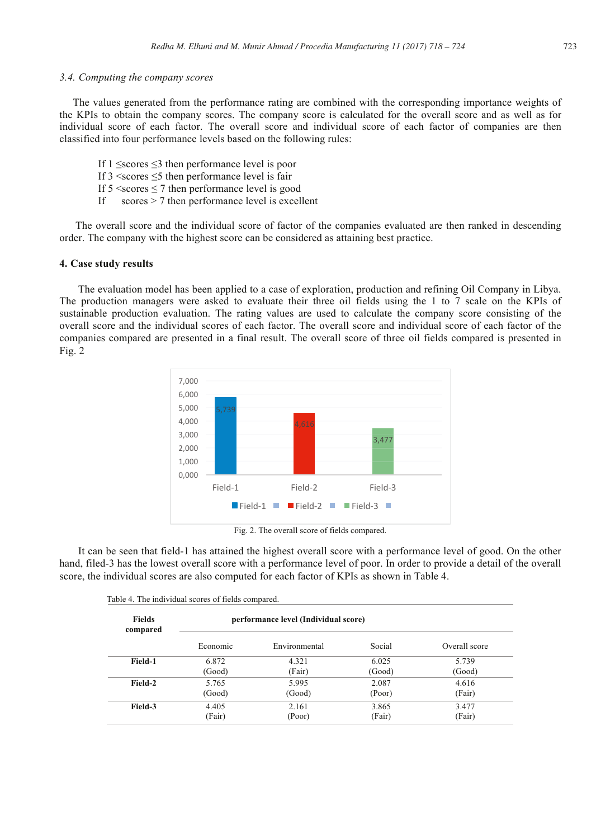#### *3.4. Computing the company scores*

 The values generated from the performance rating are combined with the corresponding importance weights of the KPIs to obtain the company scores. The company score is calculated for the overall score and as well as for individual score of each factor. The overall score and individual score of each factor of companies are then classified into four performance levels based on the following rules:

- If 1 ≤scores ≤3 then performance level is poor
- If  $3 \le$ scores  $\le$ 5 then performance level is fair
- If  $5 \le$ scores  $\le$  7 then performance level is good
- If scores > 7 then performance level is excellent

 The overall score and the individual score of factor of the companies evaluated are then ranked in descending order. The company with the highest score can be considered as attaining best practice.

# **4. Case study results**

 The evaluation model has been applied to a case of exploration, production and refining Oil Company in Libya. The production managers were asked to evaluate their three oil fields using the 1 to 7 scale on the KPIs of sustainable production evaluation. The rating values are used to calculate the company score consisting of the overall score and the individual scores of each factor. The overall score and individual score of each factor of the companies compared are presented in a final result. The overall score of three oil fields compared is presented in Fig. 2



Fig. 2. The overall score of fields compared.

 It can be seen that field-1 has attained the highest overall score with a performance level of good. On the other hand, filed-3 has the lowest overall score with a performance level of poor. In order to provide a detail of the overall score, the individual scores are also computed for each factor of KPIs as shown in Table 4.

| <b>Fields</b><br>compared | performance level (Individual score) |               |        |               |
|---------------------------|--------------------------------------|---------------|--------|---------------|
|                           | Economic                             | Environmental | Social | Overall score |
| Field-1                   | 6.872                                | 4.321         | 6.025  | 5.739         |
|                           | (Good)                               | (Fair)        | (Good) | (Good)        |
| Field-2                   | 5.765                                | 5.995         | 2.087  | 4.616         |
|                           | (Good)                               | (Good)        | (Poor) | (Fair)        |
| Field-3                   | 4.405                                | 2.161         | 3.865  | 3.477         |
|                           | (Fair)                               | (Poor)        | (Fair) | (Fair)        |

Table 4. The individual scores of fields compared.